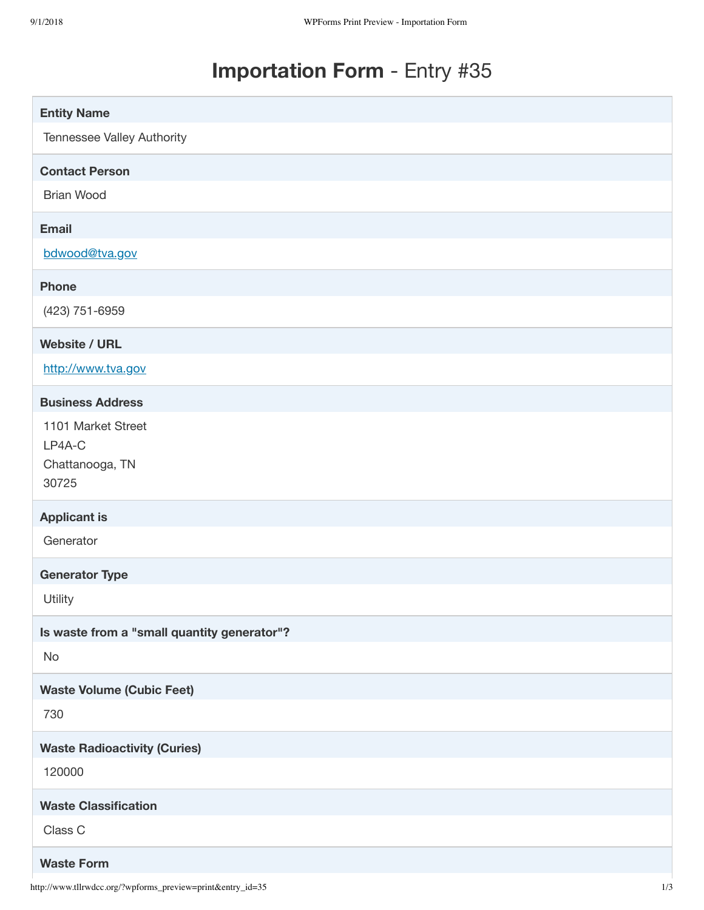## **Importation Form** - Entry #35

| <b>Entity Name</b>                                       |
|----------------------------------------------------------|
| Tennessee Valley Authority                               |
| <b>Contact Person</b>                                    |
| <b>Brian Wood</b>                                        |
| <b>Email</b>                                             |
| bdwood@tva.gov                                           |
| <b>Phone</b>                                             |
| (423) 751-6959                                           |
| <b>Website / URL</b>                                     |
| http://www.tva.gov                                       |
| <b>Business Address</b>                                  |
| 1101 Market Street<br>LP4A-C<br>Chattanooga, TN<br>30725 |
| <b>Applicant is</b>                                      |
| Generator                                                |
| <b>Generator Type</b>                                    |
| Utility                                                  |
| Is waste from a "small quantity generator"?              |
| No                                                       |
| <b>Waste Volume (Cubic Feet)</b>                         |
| 730                                                      |
| <b>Waste Radioactivity (Curies)</b>                      |
| 120000                                                   |
| <b>Waste Classification</b>                              |
| Class C                                                  |
| <b>Waste Form</b>                                        |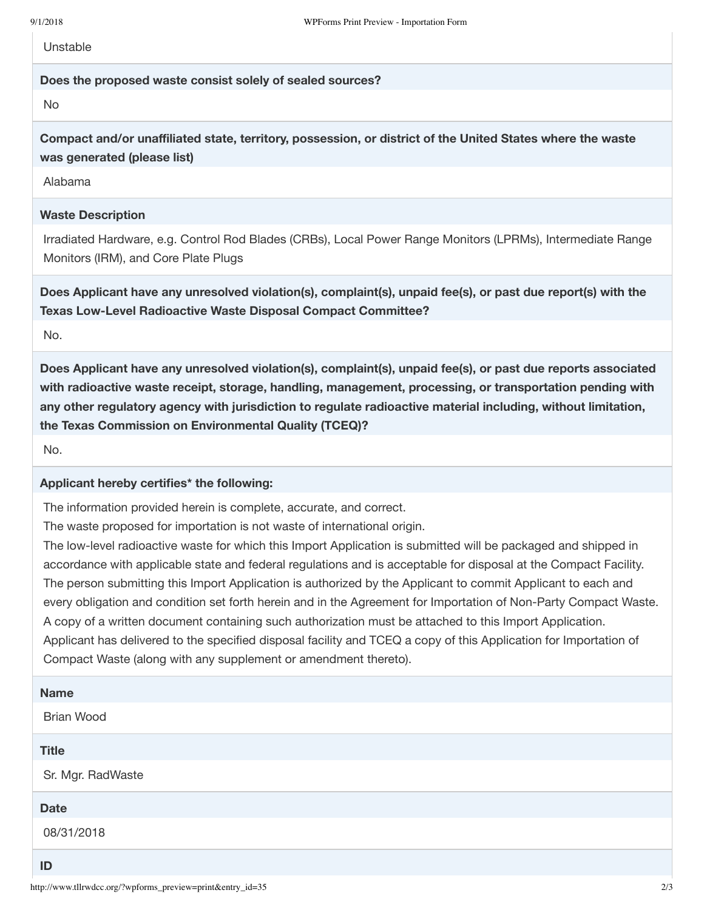**Unstable** 

## **Does the proposed waste consist solely of sealed sources?**

No

**Compact and/or unaffiliated state, territory, possession, or district of the United States where the waste was generated (please list)**

Alabama

## **Waste Description**

Irradiated Hardware, e.g. Control Rod Blades (CRBs), Local Power Range Monitors (LPRMs), Intermediate Range Monitors (IRM), and Core Plate Plugs

**Does Applicant have any unresolved violation(s), complaint(s), unpaid fee(s), or past due report(s) with the Texas Low-Level Radioactive Waste Disposal Compact Committee?**

No.

**Does Applicant have any unresolved violation(s), complaint(s), unpaid fee(s), or past due reports associated with radioactive waste receipt, storage, handling, management, processing, or transportation pending with any other regulatory agency with jurisdiction to regulate radioactive material including, without limitation, the Texas Commission on Environmental Quality (TCEQ)?**

No.

## **Applicant hereby certifies\* the following:**

The information provided herein is complete, accurate, and correct.

The waste proposed for importation is not waste of international origin.

The low-level radioactive waste for which this Import Application is submitted will be packaged and shipped in accordance with applicable state and federal regulations and is acceptable for disposal at the Compact Facility. The person submitting this Import Application is authorized by the Applicant to commit Applicant to each and every obligation and condition set forth herein and in the Agreement for Importation of Non-Party Compact Waste. A copy of a written document containing such authorization must be attached to this Import Application. Applicant has delivered to the specified disposal facility and TCEQ a copy of this Application for Importation of Compact Waste (along with any supplement or amendment thereto).

| <b>Name</b>       |
|-------------------|
| <b>Brian Wood</b> |
| <b>Title</b>      |
| Sr. Mgr. RadWaste |
| <b>Date</b>       |
| 08/31/2018        |
| $-$               |